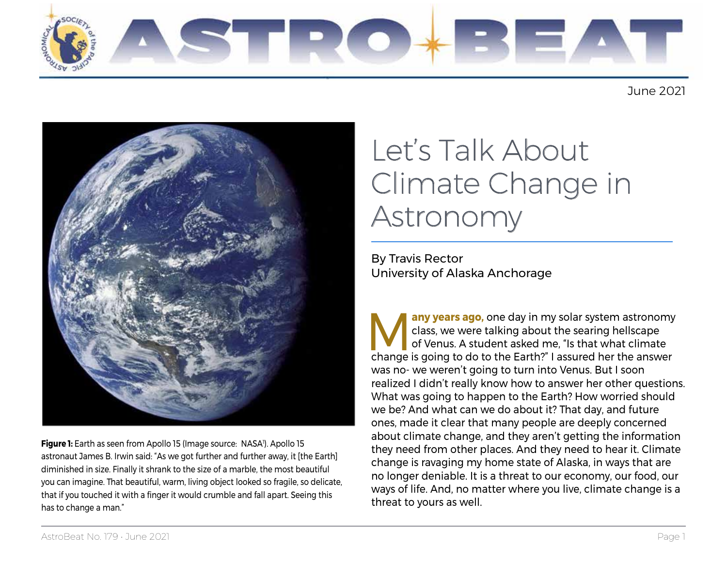

June 2021



**Figure 1:** Earth as seen from Apollo 15 (Image source: NASA'). Apollo 15 astronaut James B. Irwin said: "As we got further and further away, it [the Earth] diminished in size. Finally it shrank to the size of a marble, the most beautiful you can imagine. That beautiful, warm, living object looked so fragile, so delicate, that if you touched it with a finger it would crumble and fall apart. Seeing this has to change a man."

# Let's Talk About Climate Change in Astronomy

By Travis Rector University of Alaska Anchorage

change is going to do to the Earth?" I assured her the art<br>was no- we weren't going to turn into Venus. But I soon<br>realized I didn't really know how to answer her other qu<br>What was going to happen to the Earth? How worried **Many years ago**, one day in my solar system astronomy class, we were talking about the searing hellscape of Venus. A student asked me, "Is that what climate change is going to do to the Earth?" I assured her the answer class, we were talking about the searing hellscape of Venus. A student asked me, "Is that what climate was no- we weren't going to turn into Venus. But I soon realized I didn't really know how to answer her other questions. What was going to happen to the Earth? How worried should we be? And what can we do about it? That day, and future ones, made it clear that many people are deeply concerned about climate change, and they aren't getting the information they need from other places. And they need to hear it. Climate change is ravaging my home state of Alaska, in ways that are no longer deniable. It is a threat to our economy, our food, our ways of life. And, no matter where you live, climate change is a threat to yours as well.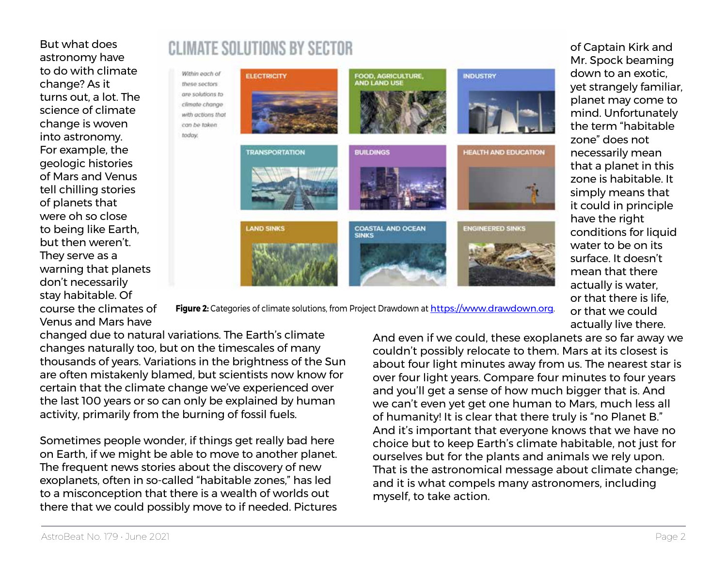But what does astronomy have to do with climate change? As it turns out, a lot. The science of climate change is woven into astronomy. For example, the geologic histories of Mars and Venus tell chilling stories of planets that were oh so close to being like Earth, but then weren't. They serve as a warning that planets don't necessarily stay habitable. Of course the climates of Venus and Mars have

## **CLIMATE SOLUTIONS BY SECTOR**



**Figure 2:** Categories of climate solutions, from Project Drawdown at [https://www.drawdown.org.](https://www.drawdown.org)

changed due to natural variations. The Earth's climate changes naturally too, but on the timescales of many thousands of years. Variations in the brightness of the Sun are often mistakenly blamed, but scientists now know for certain that the climate change we've experienced over the last 100 years or so can only be explained by human activity, primarily from the burning of fossil fuels.

today.

Sometimes people wonder, if things get really bad here on Earth, if we might be able to move to another planet. The frequent news stories about the discovery of new exoplanets, often in so-called "habitable zones," has led to a misconception that there is a wealth of worlds out there that we could possibly move to if needed. Pictures And even if we could, these exoplanets are so far away we couldn't possibly relocate to them. Mars at its closest is about four light minutes away from us. The nearest star is over four light years. Compare four minutes to four years and you'll get a sense of how much bigger that is. And we can't even yet get one human to Mars, much less all of humanity! It is clear that there truly is "no Planet B." And it's important that everyone knows that we have no choice but to keep Earth's climate habitable, not just for ourselves but for the plants and animals we rely upon. That is the astronomical message about climate change; and it is what compels many astronomers, including myself, to take action.

of Captain Kirk and Mr. Spock beaming down to an exotic, yet strangely familiar, planet may come to mind. Unfortunately the term "habitable zone" does not necessarily mean that a planet in this zone is habitable. It simply means that it could in principle have the right conditions for liquid water to be on its surface. It doesn't mean that there actually is water, or that there is life, or that we could

actually live there.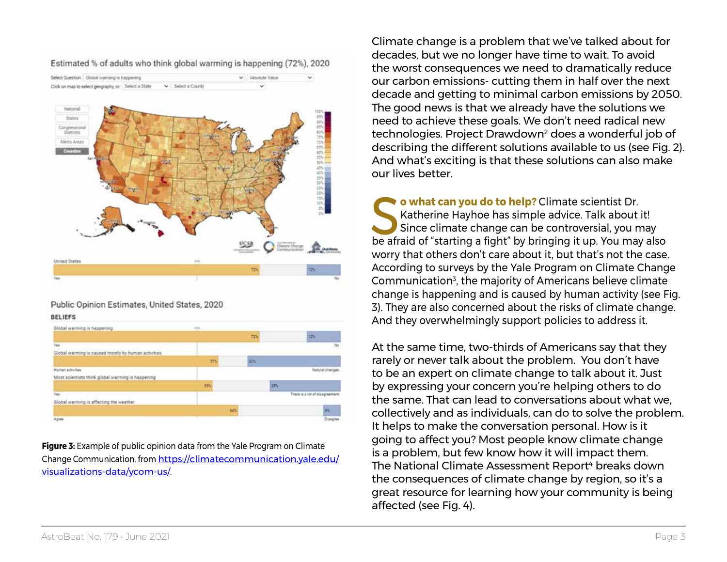

Estimated % of adults who think global warming is happening (72%), 2020

#### Public Opinion Estimates, United States, 2020

| <b>BELIEFS</b>                                      |             |     |                                |
|-----------------------------------------------------|-------------|-----|--------------------------------|
| Global warming is happening                         | <b>SITE</b> |     |                                |
|                                                     |             | 725 | <b>ISN</b>                     |
| Tex                                                 |             |     | No                             |
| Global warming is caused mostly by human activities |             |     |                                |
|                                                     | <b>STV</b>  | 22% |                                |
| <b>Human activities</b>                             |             |     | Natural changes                |
| Most acientists think global warming is happening   |             |     |                                |
|                                                     | <b>MV</b>   | 25  |                                |
| Tes                                                 |             |     | There is a lot of disagreement |
| Global warming is affecting the weather             |             |     |                                |
|                                                     |             | MN  | is.                            |
| Agree                                               |             |     | Disagree                       |

**Figure 3:** Example of public opinion data from the Yale Program on Climate Change Communication, from [https://climatecommunication.yale.edu/](https://climatecommunication.yale.edu/visualizations-data/ycom-us/) [visualizations-data/ycom-us/](https://climatecommunication.yale.edu/visualizations-data/ycom-us/).

Climate change is a problem that we've talked about for decades, but we no longer have time to wait. To avoid the worst consequences we need to dramatically reduce our carbon emissions- cutting them in half over the next decade and getting to minimal carbon emissions by 2050. The good news is that we already have the solutions we need to achieve these goals. We don't need radical new technologies. Project Drawdown2 does a wonderful job of describing the different solutions available to us (see Fig. 2). And what's exciting is that these solutions can also make our lives better.

**So what can you do to help?** Climate scientist Dr.<br>
Since climate change can be controversial, you may<br>
be afraid of "starting a fight" by bringing it up. You may also Katherine Hayhoe has simple advice. Talk about it! Since climate change can be controversial, you may worry that others don't care about it, but that's not the case. According to surveys by the Yale Program on Climate Change Communication<sup>3</sup>, the majority of Americans believe climate change is happening and is caused by human activity (see Fig. 3). They are also concerned about the risks of climate change. And they overwhelmingly support policies to address it.

At the same time, two-thirds of Americans say that they rarely or never talk about the problem. You don't have to be an expert on climate change to talk about it. Just by expressing your concern you're helping others to do the same. That can lead to conversations about what we, collectively and as individuals, can do to solve the problem. It helps to make the conversation personal. How is it going to affect you? Most people know climate change is a problem, but few know how it will impact them. The National Climate Assessment Report<sup>4</sup> breaks down the consequences of climate change by region, so it's a great resource for learning how your community is being affected (see Fig. 4).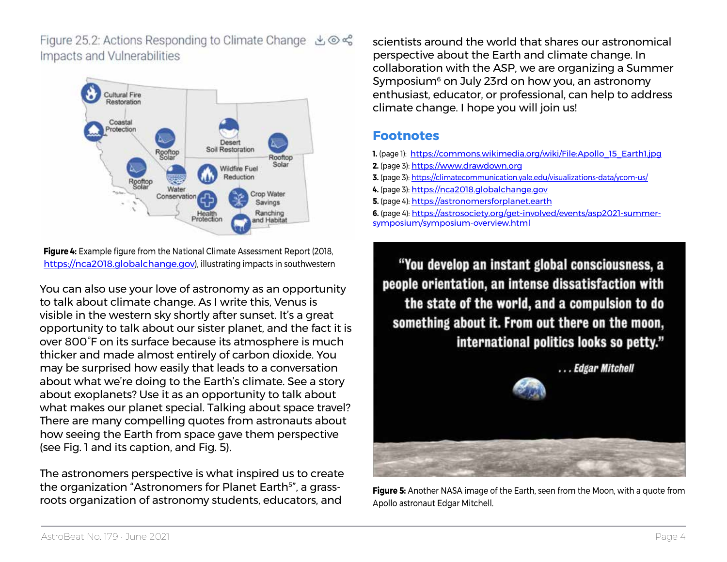Figure 25.2: Actions Responding to Climate Change  $\bigcirc$   $\otimes$   $\mathscr{E}$ Impacts and Vulnerabilities



**Figure 4:** Example figure from the National Climate Assessment Report (2018, <https://nca2018.globalchange.gov>), illustrating impacts in southwestern

You can also use your love of astronomy as an opportunity to talk about climate change. As I write this, Venus is visible in the western sky shortly after sunset. It's a great opportunity to talk about our sister planet, and the fact it is over 800°F on its surface because its atmosphere is much thicker and made almost entirely of carbon dioxide. You may be surprised how easily that leads to a conversation about what we're doing to the Earth's climate. See a story about exoplanets? Use it as an opportunity to talk about what makes our planet special. Talking about space travel? There are many compelling quotes from astronauts about how seeing the Earth from space gave them perspective (see Fig. 1 and its caption, and Fig. 5).

The astronomers perspective is what inspired us to create the organization "Astronomers for Planet Earth<sup>5</sup>", a grassroots organization of astronomy students, educators, and

scientists around the world that shares our astronomical perspective about the Earth and climate change. In collaboration with the ASP, we are organizing a Summer Symposium<sup>6</sup> on July 23rd on how you, an astronomy enthusiast, educator, or professional, can help to address climate change. I hope you will join us!

#### **Footnotes**

- **1.** (page 1): [https://commons.wikimedia.org/wiki/File:Apollo\\_15\\_Earth1.jpg](https://commons.wikimedia.org/wiki/File:Apollo_15_Earth1.jpg)
- **2.** (page 3):<https://www.drawdown.org>
- **3.** (page 3):<https://climatecommunication.yale.edu/visualizations-data/ycom-us/>
- **4.** (page 3):<https://nca2018.globalchange.gov>
- **5.** (page 4): <https://astronomersforplanet.earth>
- **6.** (page 4): [https://astrosociety.org/get-involved/events/asp2021-summer](https://astrosociety.org/get-involved/events/asp2021-summer-symposium/symposium-overview.html)[symposium/symposium-overview.html](https://astrosociety.org/get-involved/events/asp2021-summer-symposium/symposium-overview.html)

"You develop an instant global consciousness, a people orientation, an intense dissatisfaction with the state of the world, and a compulsion to do something about it. From out there on the moon, international politics looks so petty."



**Figure 5:** Another NASA image of the Earth, seen from the Moon, with a quote from Apollo astronaut Edgar Mitchell.